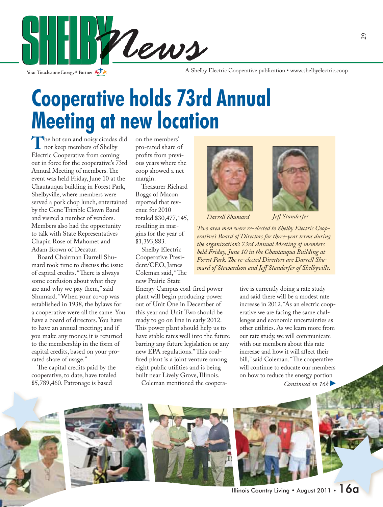

Your Touchstone Energy<sup>®</sup> Partner

A Shelby Electric Cooperative publication • www.shelbyelectric.coop

# **Cooperative holds 73rd Annual Meeting at new location**

The hot sun and noisy cicadas did<br>
not keep members of Shelby<br>
Electric Cooperative from coming Electric Cooperative from coming out in force for the cooperative's 73rd Annual Meeting of members. The event was held Friday, June 10 at the Chautauqua building in Forest Park, Shelbyville, where members were served a pork chop lunch, entertained by the Gene Trimble Clown Band and visited a number of vendors. Members also had the opportunity to talk with State Representatives Chapin Rose of Mahomet and Adam Brown of Decatur.

 Board Chairman Darrell Shumard took time to discuss the issue of capital credits. "There is always some confusion about what they are and why we pay them," said Shumard. "When your co-op was established in 1938, the bylaws for a cooperative were all the same. You have a board of directors. You have to have an annual meeting; and if you make any money, it is returned to the membership in the form of capital credits, based on your prorated share of usage."

The capital credits paid by the cooperative, to date, have totaled \$5,789,460. Patronage is based

on the members' pro-rated share of profits from previous years where the coop showed a net margin.

 Treasurer Richard Boggs of Macon reported that revenue for 2010 totaled \$30,477,145, resulting in margins for the year of \$1,393,883.

 Shelby Electric Cooperative President/CEO, James Coleman said, "The new Prairie State

Energy Campus coal-fired power plant will begin producing power out of Unit One in December of this year and Unit Two should be ready to go on line in early 2012. This power plant should help us to have stable rates well into the future barring any future legislation or any new EPA regulations." This coalfired plant is a joint venture among eight public utilities and is being built near Lively Grove, Illinois.

Coleman mentioned the coopera-





**Darrell Shumard** *Jeff Standerfer* 

*Two area men were re-elected to Shelby Electric Cooperative's Board of Directors for three-year terms during the organization's 73rd Annual Meeting of members held Friday, June 10 in the Chautauqua Building at*  Forest Park. The re-elected Directors are Darrell Shumard of Stewardson and Jeff Standerfer of Shelbyville.

> tive is currently doing a rate study and said there will be a modest rate increase in 2012. "As an electric cooperative we are facing the same challenges and economic uncertainties as other utilities. As we learn more from our rate study, we will communicate with our members about this rate increase and how it will affect their bill," said Coleman. "The cooperative will continue to educate our members on how to reduce the energy portion

*Continued on 16b* 







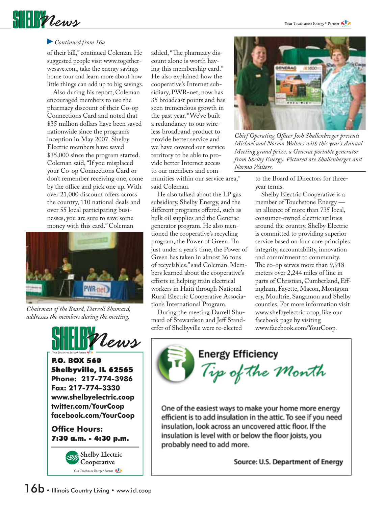

#### *Continued from 16a*

of their bill," continued Coleman. He suggested people visit www.togetherwesave.com, take the energy savings home tour and learn more about how little things can add up to big savings.

 Also during his report, Coleman encouraged members to use the pharmacy discount of their Co-op Connections Card and noted that \$35 million dollars have been saved nationwide since the program's inception in May 2007. Shelby Electric members have saved \$35,000 since the program started. Coleman said, "If you misplaced your Co-op Connections Card or don't remember receiving one, come by the office and pick one up. With over 21,000 discount offers across the country, 110 national deals and over 55 local participating businesses, you are sure to save some money with this card." Coleman



*Chairman of the Board, Darrell Shumard, addresses the members during the meeting.*



P.O. BOX 560 Shelbyville, IL 62565 **Phone: 217-774-3986 Fax: 217-774-3330 www.shelbyelectric.coop twitter.com/YourCoop facebook.com/YourCoop**

**Office Hours:** 7:30 a.m. - 4:30 p.m.



added, "The pharmacy discount alone is worth having this membership card." He also explained how the cooperative's Internet subsidiary, PWR-net, now has 35 broadcast points and has seen tremendous growth in the past year. "We've built a redundancy to our wireless broadband product to provide better service and we have covered our service territory to be able to provide better Internet access to our members and communities within our service area," said Coleman.

 He also talked about the LP gas subsidiary, Shelby Energy, and the different programs offered, such as bulk oil supplies and the Generac generator program. He also mentioned the cooperative's recycling program, the Power of Green. "In just under a year's time, the Power of Green has taken in almost 36 tons of recyclables," said Coleman. Members learned about the cooperative's efforts in helping train electrical workers in Haiti through National Rural Electric Cooperative Association's International Program.

 During the meeting Darrell Shumard of Stewardson and Jeff Standerfer of Shelbyville were re-elected



*Chief Operating Officer Josh Shallenberger presents Michael and Norma Walters with this year's Annual Meeting grand prize, a Generac portable generator from Shelby Energy. Pictured are Shallenberger and Norma Walters.*

to the Board of Directors for threeyear terms.

 Shelby Electric Cooperative is a member of Touchstone Energy an alliance of more than 735 local, consumer-owned electric utilities around the country. Shelby Electric is committed to providing superior service based on four core principles: integrity, accountability, innovation and commitment to community. The co-op serves more than 9,918 meters over 2,244 miles of line in parts of Christian, Cumberland, Effingham, Fayette, Macon, Montgomery, Moultrie, Sangamon and Shelby counties. For more information visit www.shelbyelectric.coop, like our facebook page by visiting www.facebook.com/YourCoop.

### **Energy Efficiency**

Tip of the Month

One of the easiest ways to make your home more energy efficient is to add insulation in the attic. To see if you need insulation, look across an uncovered attic floor. If the insulation is level with or below the floor joists, you probably need to add more.

Source: U.S. Department of Energy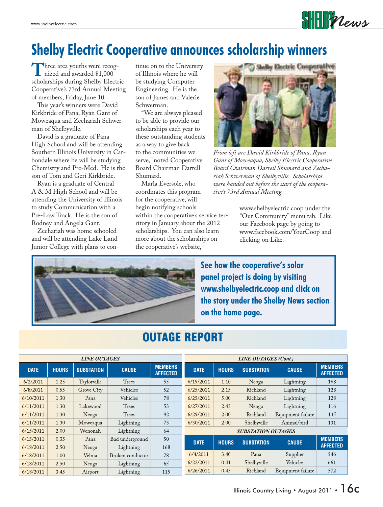### **Shelby Electric Cooperative announces scholarship winners**

Three area youths were recognized and awarded \$1,000 scholarships during Shelby Electric Cooperative's 73rd Annual Meeting of members, Friday, June 10.

This year's winners were David Kirkbride of Pana, Ryan Gant of Moweaqua and Zechariah Schwerman of Shelbyville.

 David is a graduate of Pana High School and will be attending Southern Illinois University in Carbondale where he will be studying Chemistry and Pre-Med. He is the son of Tom and Geri Kirkbride.

 Ryan is a graduate of Central A & M High School and will be attending the University of Illinois to study Communication with a Pre-Law Track. He is the son of Rodney and Angela Gant.

 Zechariah was home schooled and will be attending Lake Land Junior College with plans to con-

tinue on to the University of Illinois where he will be studying Computer Engineering. He is the son of James and Valerie Schwerman.

 "We are always pleased to be able to provide our scholarships each year to these outstanding students as a way to give back to the communities we serve," noted Cooperative Board Chairman Darrell Shumard.

 Marla Eversole, who coordinates this program for the cooperative, will begin notifying schools

within the cooperative's service territory in January about the 2012 scholarships. You can also learn more about the scholarships on the cooperative's website,



 $\textbf{S}\textbf{H}\textbf{H}\textbf{W}$ 

*From left are David Kirkbride of Pana, Ryan Gant of Moweaqua, Shelby Electric Cooperative Board Chairman Darrell Shumard and Zechariah Schwerman of Shelbyville. Scholarships were handed out before the start of the cooperative's 73rd Annual Meeting.*

www.shelbyelectric.coop under the "Our Community" menu tab. Like our Facebook page by going to www.facebook.com/YourCoop and clicking on Like.



**See how the cooperative's solar panel project is doing by visiting www.shelbyelectric.coop and click on the story under the Shelby News section on the home page.**

| <b>LINE OUTAGES</b> |             |              |                   |                  |                                   | <b>LINE OUTAGES (Cont.)</b> |              |                   |                   |                                   |
|---------------------|-------------|--------------|-------------------|------------------|-----------------------------------|-----------------------------|--------------|-------------------|-------------------|-----------------------------------|
|                     | <b>DATE</b> | <b>HOURS</b> | <b>SUBSTATION</b> | <b>CAUSE</b>     | <b>MEMBERS</b><br><b>AFFECTED</b> | <b>DATE</b>                 | <b>HOURS</b> | <b>SUBSTATION</b> | <b>CAUSE</b>      | <b>MEMBERS</b><br><b>AFFECTED</b> |
|                     | 6/2/2011    | 1.25         | Taylorville       | <b>Trees</b>     | 55                                | 6/19/2011                   | 1.10         | Neoga             | Lightning         | 168                               |
|                     | 6/8/2011    | 0.55         | Grove City        | Vehicles         | 52                                | 6/25/2011                   | 2.15         | Richland          | Lightning         | 128                               |
|                     | 6/10/2011   | 1.30         | Pana              | Vehicles         | 78                                | 6/25/2011                   | 5.00         | Richland          | Lightning         | 128                               |
|                     | 6/11/2011   | 1.30         | Lakewood          | Trees            | 53                                | 6/27/2011                   | 2.45         | Neoga             | Lightning         | 116                               |
|                     | 6/11/2011   | 1.30         | Neoga             | Trees            | 92                                | 6/29/2011                   | 2.00         | Richland          | Equipment failure | 135                               |
|                     | 6/11/2011   | 1.30         | Moweaqua          | Lightning        | 73                                | 6/30/2011                   | 2.00         | Shelbyville       | Animal/bird       | 131                               |
|                     | 6/15/2011   | 2.00         | Wenonah           | Lightning        | 64                                | <b>SUBSTATION OUTAGES</b>   |              |                   |                   |                                   |
|                     | 6/15/2011   | 0.35         | Pana              | Bad underground  | 50                                | <b>DATE</b>                 | <b>HOURS</b> | <b>SUBSTATION</b> | <b>CAUSE</b>      | <b>MEMBERS</b>                    |
|                     | 6/18/2011   | 2.50         | Neoga             | Lightning        | 168                               |                             |              |                   |                   | <b>AFFECTED</b>                   |
|                     | 6/18/2011   | 1.00         | Velma             | Broken conductor | 78                                | 6/4/2011                    | 3.40         | Pana              | Supplier          | 546                               |
|                     | 6/18/2011   | 2.50         | Neoga             | Lightning        | 65                                | 6/22/2011                   | 0.41         | Shelbyville       | Vehicles          | 661                               |
|                     | 6/18/2011   | 3.45         | Airport           | Lightning        | 115                               | 6/26/2011                   | 0.45         | Richland          | Equipment failure | 572                               |

#### OUTAGE REPORT